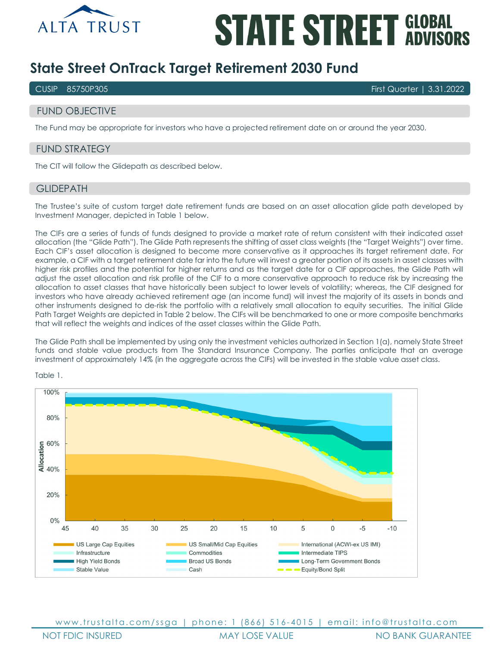

# **STATE STREET GLOBAL**

# **State Street OnTrack Target Retirement 2030 Fund**

CUSIP 85750P305 First Quarter | 3.31.2022

# FUND OBJECTIVE

The Fund may be appropriate for investors who have a projected retirement date on or around the year 2030.

# FUND STRATEGY

The CIT will follow the Glidepath as described below.

# GLIDEPATH

The Trustee's suite of custom target date retirement funds are based on an asset allocation glide path developed by Investment Manager, depicted in Table 1 below.

The CIFs are a series of funds of funds designed to provide a market rate of return consistent with their indicated asset allocation (the "Glide Path"). The Glide Path represents the shifting of asset class weights (the "Target Weights") over time. Each CIF's asset allocation is designed to become more conservative as it approaches its target retirement date. For example, a CIF with a target retirement date far into the future will invest a greater portion of its assets in asset classes with higher risk profiles and the potential for higher returns and as the target date for a CIF approaches, the Glide Path will adjust the asset allocation and risk profile of the CIF to a more conservative approach to reduce risk by increasing the allocation to asset classes that have historically been subject to lower levels of volatility; whereas, the CIF designed for investors who have already achieved retirement age (an income fund) will invest the majority of its assets in bonds and other instruments designed to de-risk the portfolio with a relatively small allocation to equity securities. The initial Glide Path Target Weights are depicted in Table 2 below. The CIFs will be benchmarked to one or more composite benchmarks that will reflect the weights and indices of the asset classes within the Glide Path.

The Glide Path shall be implemented by using only the investment vehicles authorized in Section 1(a), namely State Street funds and stable value products from The Standard Insurance Company. The parties anticipate that an average investment of approximately 14% (in the aggregate across the CIFs) will be invested in the stable value asset class.



Table 1.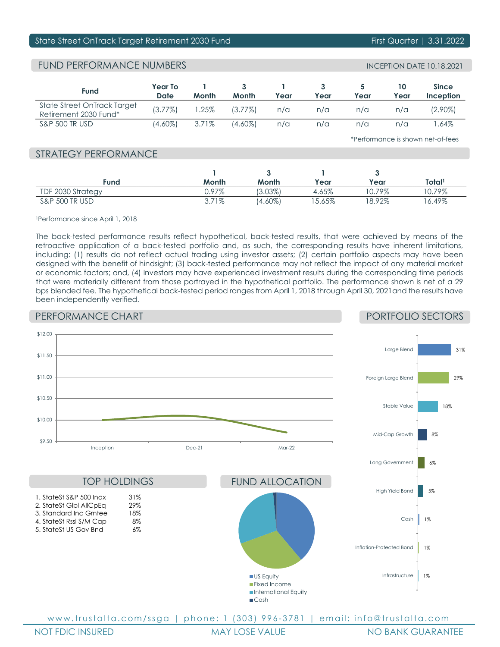# State Street OnTrack Target Retirement 2030 Fund First Guarter | 3.31.2022

# FUND PERFORMANCE NUMBERS INCEPTION DATE 10.18.2021

| <b>Fund</b>                                          | Year To<br>Date | Month | <b>Month</b> | Year | Year | Year       | Year | <b>Since</b><br>Inception |
|------------------------------------------------------|-----------------|-------|--------------|------|------|------------|------|---------------------------|
| State Street OnTrack Target<br>Retirement 2030 Fund* | $(3.77\%)$      | .25%  | $(3.77\%)$   | n/a  | n/a  | n/a        | n/a  | (2.90%)                   |
| S&P 500 TR USD                                       | (4.60%)         | 3.71% | $(4.60\%)$   | n/a  | n/a  | $n/\alpha$ | n/a  | .64%                      |

\*Performance is shown net-of-fees

# STRATEGY PERFORMANCE

| Fund                      | Month | Month      | Year      | Year     | Total <sup>1</sup> |
|---------------------------|-------|------------|-----------|----------|--------------------|
| TDF 2030 Strategy         | ).97% | 3.03%      | 4.65%     | $0.79\%$ | 0.79%              |
| <b>S&amp;P 500 TR USD</b> | 3.71% | $(4.60\%)$ | $15.65\%$ | $8.92\%$ | $6.49\%$           |

1Performance since April 1, 2018

The back-tested performance results reflect hypothetical, back-tested results, that were achieved by means of the retroactive application of a back-tested portfolio and, as such, the corresponding results have inherent limitations, including: (1) results do not reflect actual trading using investor assets; (2) certain portfolio aspects may have been designed with the benefit of hindsight; (3) back-tested performance may not reflect the impact of any material market or economic factors; and, (4) Investors may have experienced investment results during the corresponding time periods that were materially different from those portrayed in the hypothetical portfolio. The performance shown is net of a 29 bps blended fee. The hypothetical back-tested period ranges from April 1, 2018 through April 30, 2021and the results have been independently verified.

# PERFORMANCE CHART

# PORTFOLIO SECTORS

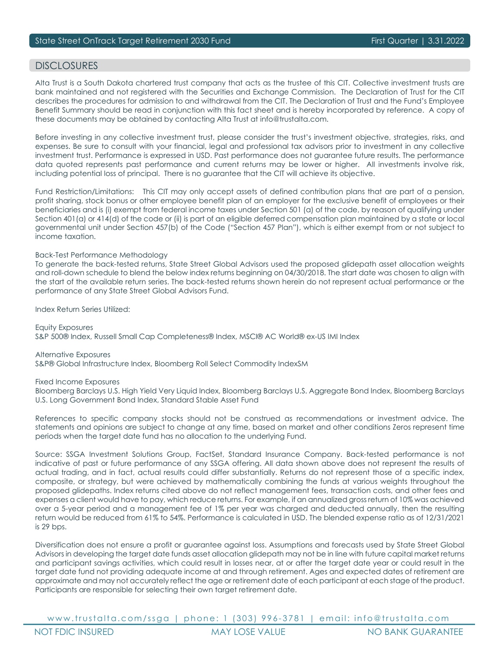# DISCI OSURES

Alta Trust is a South Dakota chartered trust company that acts as the trustee of this CIT. Collective investment trusts are bank maintained and not registered with the Securities and Exchange Commission. The Declaration of Trust for the CIT describes the procedures for admission to and withdrawal from the CIT. The Declaration of Trust and the Fund's Employee Benefit Summary should be read in conjunction with this fact sheet and is hereby incorporated by reference. A copy of these documents may be obtained by contacting Alta Trust at info@trustalta.com.

Before investing in any collective investment trust, please consider the trust's investment objective, strategies, risks, and expenses. Be sure to consult with your financial, legal and professional tax advisors prior to investment in any collective investment trust. Performance is expressed in USD. Past performance does not guarantee future results. The performance data quoted represents past performance and current returns may be lower or higher. All investments involve risk, including potential loss of principal. There is no guarantee that the CIT will achieve its objective.

Fund Restriction/Limitations: This CIT may only accept assets of defined contribution plans that are part of a pension, profit sharing, stock bonus or other employee benefit plan of an employer for the exclusive benefit of employees or their beneficiaries and is (i) exempt from federal income taxes under Section 501 (a) of the code, by reason of qualifying under Section 401(a) or 414(d) of the code or (ii) is part of an eligible deferred compensation plan maintained by a state or local governmental unit under Section 457(b) of the Code ("Section 457 Plan"), which is either exempt from or not subject to income taxation.

### Back-Test Performance Methodology

To generate the back-tested returns, State Street Global Advisors used the proposed glidepath asset allocation weights and roll-down schedule to blend the below index returns beginning on 04/30/2018. The start date was chosen to align with the start of the available return series. The back-tested returns shown herein do not represent actual performance or the performance of any State Street Global Advisors Fund.

Index Return Series Utilized:

Equity Exposures S&P 500® Index, Russell Small Cap Completeness® Index, MSCI® AC World® ex-US IMI Index

Alternative Exposures S&P® Global Infrastructure Index, Bloomberg Roll Select Commodity IndexSM

Fixed Income Exposures

Bloomberg Barclays U.S. High Yield Very Liquid Index, Bloomberg Barclays U.S. Aggregate Bond Index, Bloomberg Barclays U.S. Long Government Bond Index, Standard Stable Asset Fund

References to specific company stocks should not be construed as recommendations or investment advice. The statements and opinions are subject to change at any time, based on market and other conditions Zeros represent time periods when the target date fund has no allocation to the underlying Fund.

Source: SSGA Investment Solutions Group, FactSet, Standard Insurance Company. Back-tested performance is not indicative of past or future performance of any SSGA offering. All data shown above does not represent the results of actual trading, and in fact, actual results could differ substantially. Returns do not represent those of a specific index, composite, or strategy, but were achieved by mathematically combining the funds at various weights throughout the proposed glidepaths. Index returns cited above do not reflect management fees, transaction costs, and other fees and expenses a client would have to pay, which reduce returns. For example, if an annualized gross return of 10% was achieved over a 5-year period and a management fee of 1% per year was charged and deducted annually, then the resulting return would be reduced from 61% to 54%. Performance is calculated in USD. The blended expense ratio as of 12/31/2021 is 29 bps.

Diversification does not ensure a profit or guarantee against loss. Assumptions and forecasts used by State Street Global Advisors in developing the target date funds asset allocation glidepath may not be in line with future capital market returns and participant savings activities, which could result in losses near, at or after the target date year or could result in the target date fund not providing adequate income at and through retirement. Ages and expected dates of retirement are approximate and may not accurately reflect the age or retirement date of each participant at each stage of the product. Participants are responsible for selecting their own target retirement date.

www.trustalta.com/ ssga | phone: 1 ( 303 ) 9 9 6 - 3781 | email: info@trustalta.com